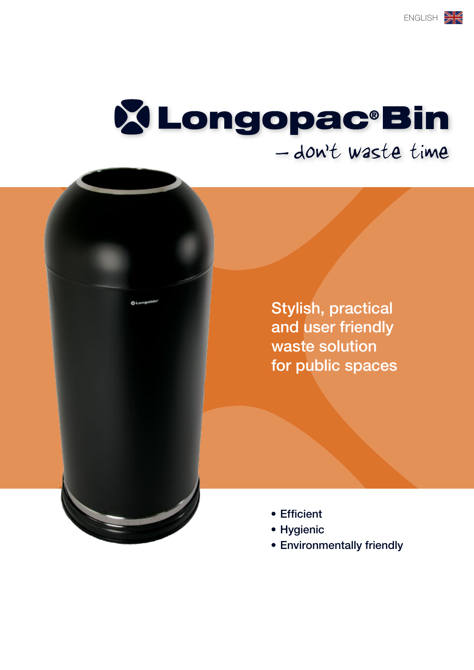# **X Longopac<sup>®</sup>Bin** - don't waste time

Stylish, practical and user friendly waste solution for public spaces

- • Efficient
- • Hygienic
- • Environmentally friendly